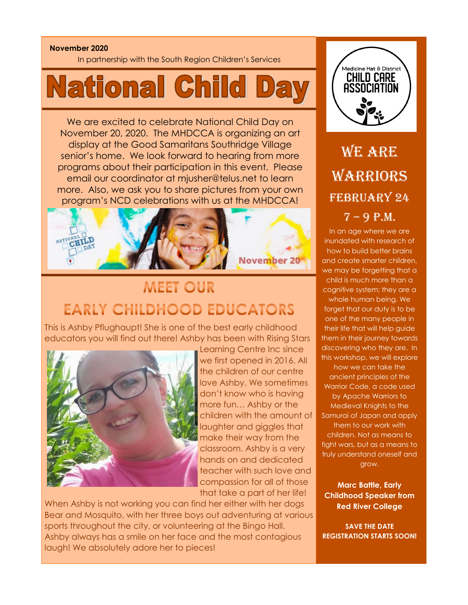#### **November 2020**

In partnership with the South Region Children's Services

# **National Child**

We are excited to celebrate National Child Day on November 20, 2020. The MHDCCA is organizing an art display at the Good Samaritans Southridge Village senior's home. We look forward to hearing from more programs about their participation in this event. Please email our coordinator at mjusher@telus.net to learn more. Also, we ask you to share pictures from your own program's NCD celebrations with us at the MHDCCA!



## **MEET OUR EARLY CHILDHOOD EDUCATORS**

This is Ashby Pflughaupt! She is one of the best early childhood educators you will find out there! Ashby has been with Rising Stars



Learning Centre Inc since we first opened in 2016. All the children of our centre love Ashby. We sometimes don't know who is having more fun… Ashby or the children with the amount of laughter and giggles that make their way from the classroom. Ashby is a very hands on and dedicated teacher with such love and compassion for all of those that take a part of her life!

When Ashby is not working you can find her either with her dogs Bear and Mosquito, with her three boys out adventuring at various sports throughout the city, or volunteering at the Bingo Hall. Ashby always has a smile on her face and the most contagious laugh! We absolutely adore her to pieces!



## WE ARE WARRIORS FEBRUARY 24  $7 - 9$  P.M.

In an age where we are inundated with research of how to build better brains and create smarter children, we may be forgetting that a child is much more than a cognitive system; they are a whole human being. We forget that our duty is to be one of the many people in their life that will help guide them in their journey towards discovering who they are. In this workshop, we will explore how we can take the ancient principles of the Warrior Code, a code used by Apache Warriors to Medieval Knights to the Samurai of Japan and apply them to our work with children. Not as means to fight wars, but as a means to truly understand oneself and grow.

**Marc Battle, Early Childhood Speaker from Red River College**

**SAVE THE DATE REGISTRATION STARTS SOON!**